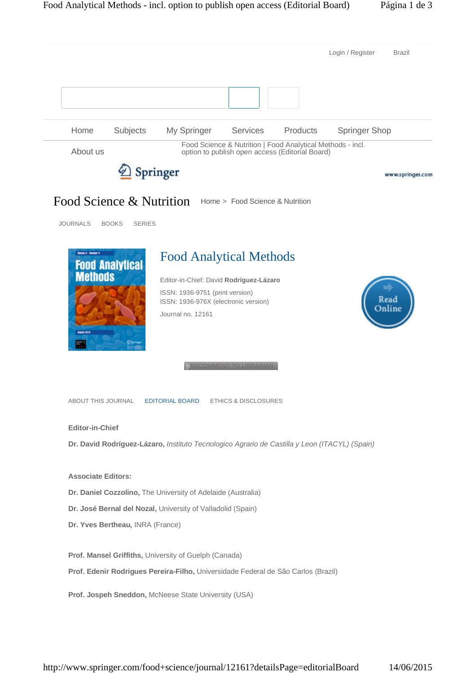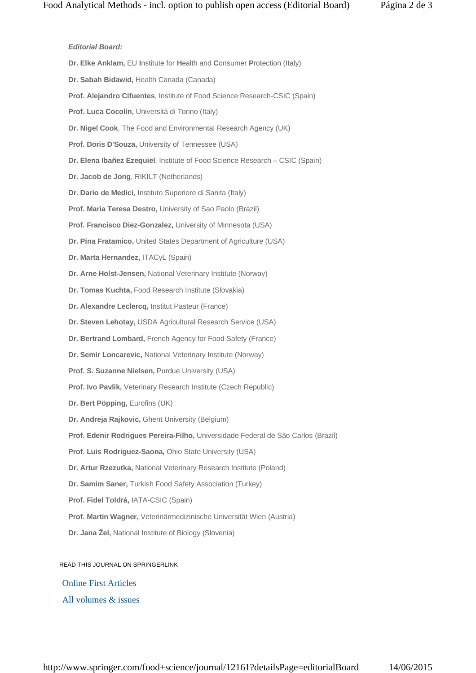## *Editorial Board:*

**Dr. Elke Anklam,** EU **I**nstitute for **H**ealth and **C**onsumer **P**rotection (Italy) **Dr. Sabah Bidawid,** Health Canada (Canada) **Prof. Alejandro Cifuentes**, Institute of Food Science Research-CSIC (Spain) **Prof. Luca Cocolin,** Università di Torino (Italy) **Dr. Nigel Cook**, The Food and Environmental Research Agency (UK) **Prof. Doris D'Souza,** University of Tennessee (USA) **Dr. Elena Ibañez Ezequiel**, Institute of Food Science Research – CSIC (Spain) **Dr. Jacob de Jong**, RIKILT (Netherlands) **Dr. Dario de Medici**, Instituto Superiore di Sanita (Italy) **Prof. Maria Teresa Destro,** University of Sao Paolo (Brazil) **Prof. Francisco Diez-Gonzalez,** University of Minnesota (USA) **Dr. Pina Fratamico,** United States Department of Agriculture (USA) **Dr. Marta Hernandez,** ITACyL (Spain) **Dr. Arne Holst-Jensen,** National Veterinary Institute (Norway) **Dr. Tomas Kuchta,** Food Research Institute (Slovakia) **Dr. Alexandre Leclercq,** Institut Pasteur (France) **Dr. Steven Lehotay,** USDA Agricultural Research Service (USA) **Dr. Bertrand Lombard,** French Agency for Food Safety (France) **Dr. Semir Loncarevic,** National Veterinary Institute (Norway) **Prof. S. Suzanne Nielsen,** Purdue University (USA) **Prof. Ivo Pavlik,** Veterinary Research Institute (Czech Republic) **Dr. Bert Pöpping,** Eurofins (UK) **Dr. Andreja Rajkovic,** Ghent University (Belgium) **Prof. Edenir Rodrigues Pereira-Filho,** Universidade Federal de São Carlos (Brazil) **Prof. Luis Rodriguez-Saona,** Ohio State University (USA) **Dr. Artur Rzezutka,** National Veterinary Research Institute (Poland) **Dr. Samim Saner,** Turkish Food Safety Association (Turkey) **Prof. Fidel Toldrá,** IATA-CSIC (Spain) **Prof. Martin Wagner,** Veterinärmedizinische Universität Wien (Austria) **Dr. Jana Žel,** National Institute of Biology (Slovenia)

## READ THIS JOURNAL ON SPRINGERLINK

# Online First Articles

## All volumes & issues